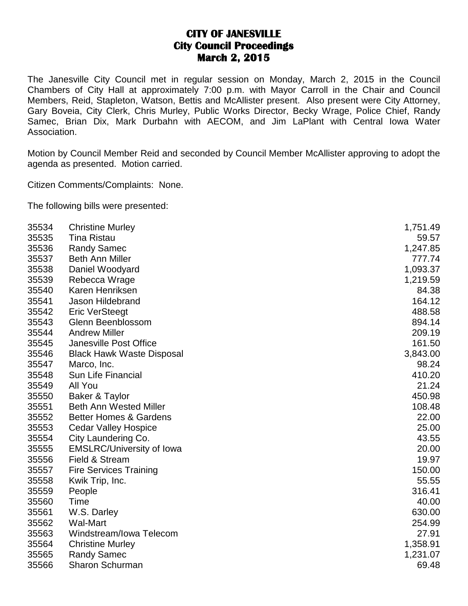## **CITY OF JANESVILLE City Council Proceedings March 2, 2015**

The Janesville City Council met in regular session on Monday, March 2, 2015 in the Council Chambers of City Hall at approximately 7:00 p.m. with Mayor Carroll in the Chair and Council Members, Reid, Stapleton, Watson, Bettis and McAllister present. Also present were City Attorney, Gary Boveia, City Clerk, Chris Murley, Public Works Director, Becky Wrage, Police Chief, Randy Samec, Brian Dix, Mark Durbahn with AECOM, and Jim LaPlant with Central Iowa Water Association.

Motion by Council Member Reid and seconded by Council Member McAllister approving to adopt the agenda as presented. Motion carried.

Citizen Comments/Complaints: None.

The following bills were presented:

| 35534 | <b>Christine Murley</b>           | 1,751.49 |
|-------|-----------------------------------|----------|
| 35535 | <b>Tina Ristau</b>                | 59.57    |
| 35536 | <b>Randy Samec</b>                | 1,247.85 |
| 35537 | <b>Beth Ann Miller</b>            | 777.74   |
| 35538 | Daniel Woodyard                   | 1,093.37 |
| 35539 | Rebecca Wrage                     | 1,219.59 |
| 35540 | Karen Henriksen                   | 84.38    |
| 35541 | Jason Hildebrand                  | 164.12   |
| 35542 | <b>Eric VerSteegt</b>             | 488.58   |
| 35543 | Glenn Beenblossom                 | 894.14   |
| 35544 | <b>Andrew Miller</b>              | 209.19   |
| 35545 | <b>Janesville Post Office</b>     | 161.50   |
| 35546 | <b>Black Hawk Waste Disposal</b>  | 3,843.00 |
| 35547 | Marco, Inc.                       | 98.24    |
| 35548 | Sun Life Financial                | 410.20   |
| 35549 | All You                           | 21.24    |
| 35550 | Baker & Taylor                    | 450.98   |
| 35551 | <b>Beth Ann Wested Miller</b>     | 108.48   |
| 35552 | <b>Better Homes &amp; Gardens</b> | 22.00    |
| 35553 | <b>Cedar Valley Hospice</b>       | 25.00    |
| 35554 | City Laundering Co.               | 43.55    |
| 35555 | <b>EMSLRC/University of Iowa</b>  | 20.00    |
| 35556 | Field & Stream                    | 19.97    |
| 35557 | <b>Fire Services Training</b>     | 150.00   |
| 35558 | Kwik Trip, Inc.                   | 55.55    |
| 35559 | People                            | 316.41   |
| 35560 | Time                              | 40.00    |
| 35561 | W.S. Darley                       | 630.00   |
| 35562 | <b>Wal-Mart</b>                   | 254.99   |
| 35563 | Windstream/Iowa Telecom           | 27.91    |
| 35564 | <b>Christine Murley</b>           | 1,358.91 |
| 35565 | <b>Randy Samec</b>                | 1,231.07 |
| 35566 | <b>Sharon Schurman</b>            | 69.48    |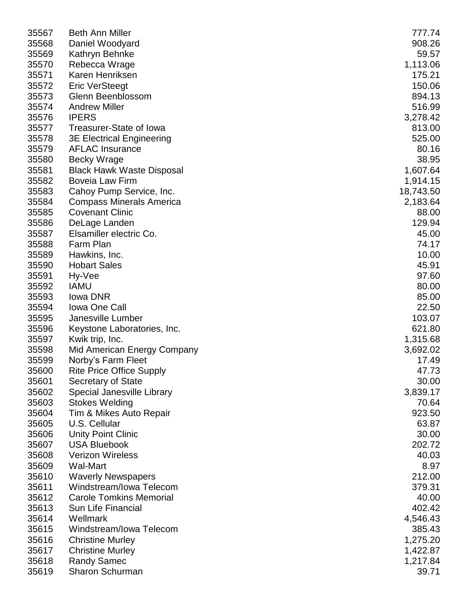| 35567 | <b>Beth Ann Miller</b>           | 777.74    |
|-------|----------------------------------|-----------|
| 35568 | Daniel Woodyard                  | 908.26    |
| 35569 | Kathryn Behnke                   | 59.57     |
| 35570 | Rebecca Wrage                    | 1,113.06  |
| 35571 | Karen Henriksen                  | 175.21    |
| 35572 | <b>Eric VerSteegt</b>            | 150.06    |
| 35573 | Glenn Beenblossom                | 894.13    |
| 35574 | <b>Andrew Miller</b>             | 516.99    |
| 35576 | <b>IPERS</b>                     | 3,278.42  |
| 35577 | Treasurer-State of Iowa          | 813.00    |
| 35578 | <b>3E Electrical Engineering</b> | 525.00    |
| 35579 | <b>AFLAC Insurance</b>           | 80.16     |
|       |                                  |           |
| 35580 | <b>Becky Wrage</b>               | 38.95     |
| 35581 | <b>Black Hawk Waste Disposal</b> | 1,607.64  |
| 35582 | <b>Boveia Law Firm</b>           | 1,914.15  |
| 35583 | Cahoy Pump Service, Inc.         | 18,743.50 |
| 35584 | <b>Compass Minerals America</b>  | 2,183.64  |
| 35585 | <b>Covenant Clinic</b>           | 88.00     |
| 35586 | DeLage Landen                    | 129.94    |
| 35587 | Elsamiller electric Co.          | 45.00     |
| 35588 | Farm Plan                        | 74.17     |
| 35589 | Hawkins, Inc.                    | 10.00     |
| 35590 | <b>Hobart Sales</b>              | 45.91     |
| 35591 | Hy-Vee                           | 97.60     |
| 35592 | <b>IAMU</b>                      | 80.00     |
| 35593 | lowa DNR                         | 85.00     |
| 35594 | <b>Iowa One Call</b>             | 22.50     |
| 35595 | Janesville Lumber                | 103.07    |
| 35596 | Keystone Laboratories, Inc.      | 621.80    |
| 35597 | Kwik trip, Inc.                  | 1,315.68  |
| 35598 | Mid American Energy Company      | 3,692.02  |
| 35599 | Norby's Farm Fleet               | 17.49     |
| 35600 | <b>Rite Price Office Supply</b>  | 47.73     |
| 35601 | Secretary of State               | 30.00     |
| 35602 | Special Janesville Library       | 3,839.17  |
| 35603 | <b>Stokes Welding</b>            | 70.64     |
| 35604 | Tim & Mikes Auto Repair          | 923.50    |
| 35605 | U.S. Cellular                    | 63.87     |
| 35606 | <b>Unity Point Clinic</b>        | 30.00     |
| 35607 | <b>USA Bluebook</b>              | 202.72    |
| 35608 | <b>Verizon Wireless</b>          | 40.03     |
| 35609 | <b>Wal-Mart</b>                  | 8.97      |
| 35610 | <b>Waverly Newspapers</b>        | 212.00    |
| 35611 | Windstream/Iowa Telecom          | 379.31    |
| 35612 | <b>Carole Tomkins Memorial</b>   | 40.00     |
| 35613 | Sun Life Financial               | 402.42    |
| 35614 | Wellmark                         | 4,546.43  |
| 35615 | Windstream/Iowa Telecom          | 385.43    |
| 35616 | <b>Christine Murley</b>          | 1,275.20  |
| 35617 | <b>Christine Murley</b>          | 1,422.87  |
| 35618 | <b>Randy Samec</b>               | 1,217.84  |
| 35619 | Sharon Schurman                  | 39.71     |
|       |                                  |           |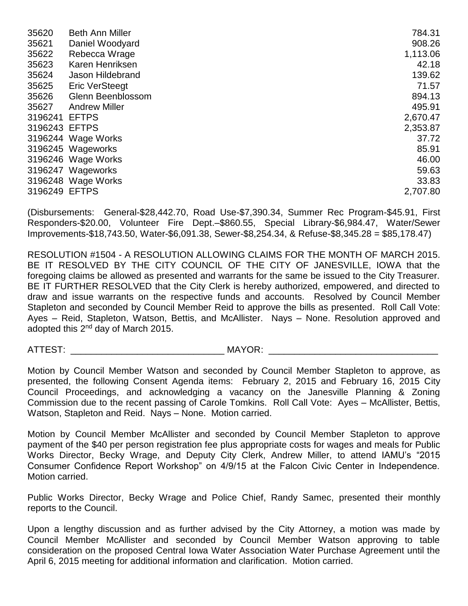| 35620         | <b>Beth Ann Miller</b> | 784.31   |
|---------------|------------------------|----------|
| 35621         | Daniel Woodyard        | 908.26   |
| 35622         | Rebecca Wrage          | 1,113.06 |
| 35623         | Karen Henriksen        | 42.18    |
| 35624         | Jason Hildebrand       | 139.62   |
| 35625         | <b>Eric VerSteegt</b>  | 71.57    |
| 35626         | Glenn Beenblossom      | 894.13   |
| 35627         | <b>Andrew Miller</b>   | 495.91   |
| 3196241       | <b>EFTPS</b>           | 2,670.47 |
| 3196243 EFTPS |                        | 2,353.87 |
|               | 3196244 Wage Works     | 37.72    |
|               | 3196245 Wageworks      | 85.91    |
|               | 3196246 Wage Works     | 46.00    |
|               | 3196247 Wageworks      | 59.63    |
|               | 3196248 Wage Works     | 33.83    |
| 3196249 EFTPS |                        | 2,707.80 |

(Disbursements: General-\$28,442.70, Road Use-\$7,390.34, Summer Rec Program-\$45.91, First Responders-\$20.00, Volunteer Fire Dept.–\$860.55, Special Library-\$6,984.47, Water/Sewer Improvements-\$18,743.50, Water-\$6,091.38, Sewer-\$8,254.34, & Refuse-\$8,345.28 = \$85,178.47)

RESOLUTION #1504 - A RESOLUTION ALLOWING CLAIMS FOR THE MONTH OF MARCH 2015. BE IT RESOLVED BY THE CITY COUNCIL OF THE CITY OF JANESVILLE, IOWA that the foregoing claims be allowed as presented and warrants for the same be issued to the City Treasurer. BE IT FURTHER RESOLVED that the City Clerk is hereby authorized, empowered, and directed to draw and issue warrants on the respective funds and accounts. Resolved by Council Member Stapleton and seconded by Council Member Reid to approve the bills as presented. Roll Call Vote: Ayes – Reid, Stapleton, Watson, Bettis, and McAllister. Nays – None. Resolution approved and adopted this 2<sup>nd</sup> day of March 2015.

ATTEST: THE MAYOR: THE MAYOR:

Motion by Council Member Watson and seconded by Council Member Stapleton to approve, as presented, the following Consent Agenda items: February 2, 2015 and February 16, 2015 City Council Proceedings, and acknowledging a vacancy on the Janesville Planning & Zoning Commission due to the recent passing of Carole Tomkins. Roll Call Vote: Ayes – McAllister, Bettis, Watson, Stapleton and Reid. Nays – None. Motion carried.

Motion by Council Member McAllister and seconded by Council Member Stapleton to approve payment of the \$40 per person registration fee plus appropriate costs for wages and meals for Public Works Director, Becky Wrage, and Deputy City Clerk, Andrew Miller, to attend IAMU's "2015 Consumer Confidence Report Workshop" on 4/9/15 at the Falcon Civic Center in Independence. Motion carried.

Public Works Director, Becky Wrage and Police Chief, Randy Samec, presented their monthly reports to the Council.

Upon a lengthy discussion and as further advised by the City Attorney, a motion was made by Council Member McAllister and seconded by Council Member Watson approving to table consideration on the proposed Central Iowa Water Association Water Purchase Agreement until the April 6, 2015 meeting for additional information and clarification. Motion carried.